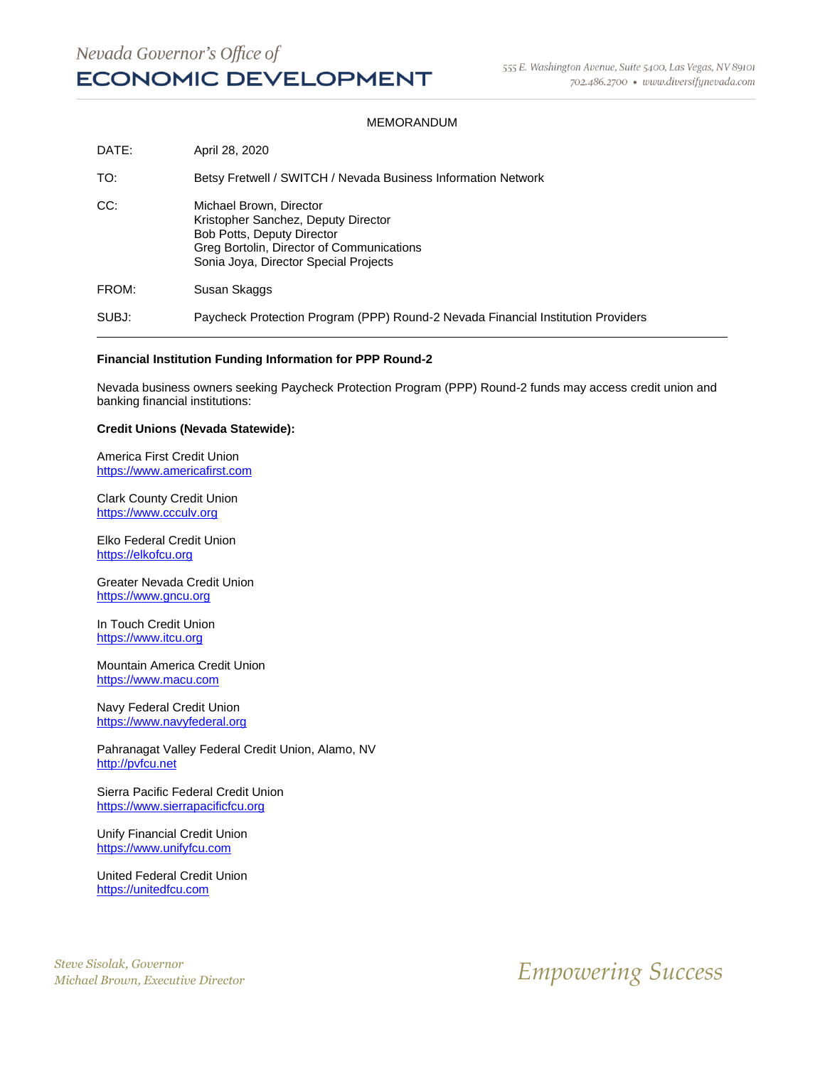#### MEMORANDUM

| DATE: | April 28, 2020                                                                                                                                                                            |
|-------|-------------------------------------------------------------------------------------------------------------------------------------------------------------------------------------------|
| TO:   | Betsy Fretwell / SWITCH / Nevada Business Information Network                                                                                                                             |
| CC:   | Michael Brown, Director<br>Kristopher Sanchez, Deputy Director<br><b>Bob Potts, Deputy Director</b><br>Greg Bortolin, Director of Communications<br>Sonia Joya, Director Special Projects |
| FROM: | Susan Skaggs                                                                                                                                                                              |
| SUBJ: | Paycheck Protection Program (PPP) Round-2 Nevada Financial Institution Providers                                                                                                          |

#### **Financial Institution Funding Information for PPP Round-2**

Nevada business owners seeking Paycheck Protection Program (PPP) Round-2 funds may access credit union and banking financial institutions:

#### **Credit Unions (Nevada Statewide):**

America First Credit Union [https://www.americafirst.com](https://www.americafirst.com/)

Clark County Credit Union [https://www.ccculv.org](https://www.ccculv.org/)

Elko Federal Credit Union [https://elkofcu.org](https://elkofcu.org/)

Greater Nevada Credit Union [https://www.gncu.org](https://www.gncu.org/)

In Touch Credit Union [https://www.itcu.org](https://www.itcu.org/)

Mountain America Credit Union [https://www.macu.com](https://www.macu.com/)

Navy Federal Credit Union [https://www.navyfederal.org](https://www.navyfederal.org/)

Pahranagat Valley Federal Credit Union, Alamo, NV [http://pvfcu.net](http://pvfcu.net/)

Sierra Pacific Federal Credit Union [https://www.sierrapacificfcu.org](https://www.sierrapacificfcu.org/)

Unify Financial Credit Union [https://www.unifyfcu.com](https://www.unifyfcu.com/)

United Federal Credit Union [https://unitedfcu.com](https://unitedfcu.com/)

*Steve Sisolak, Governor*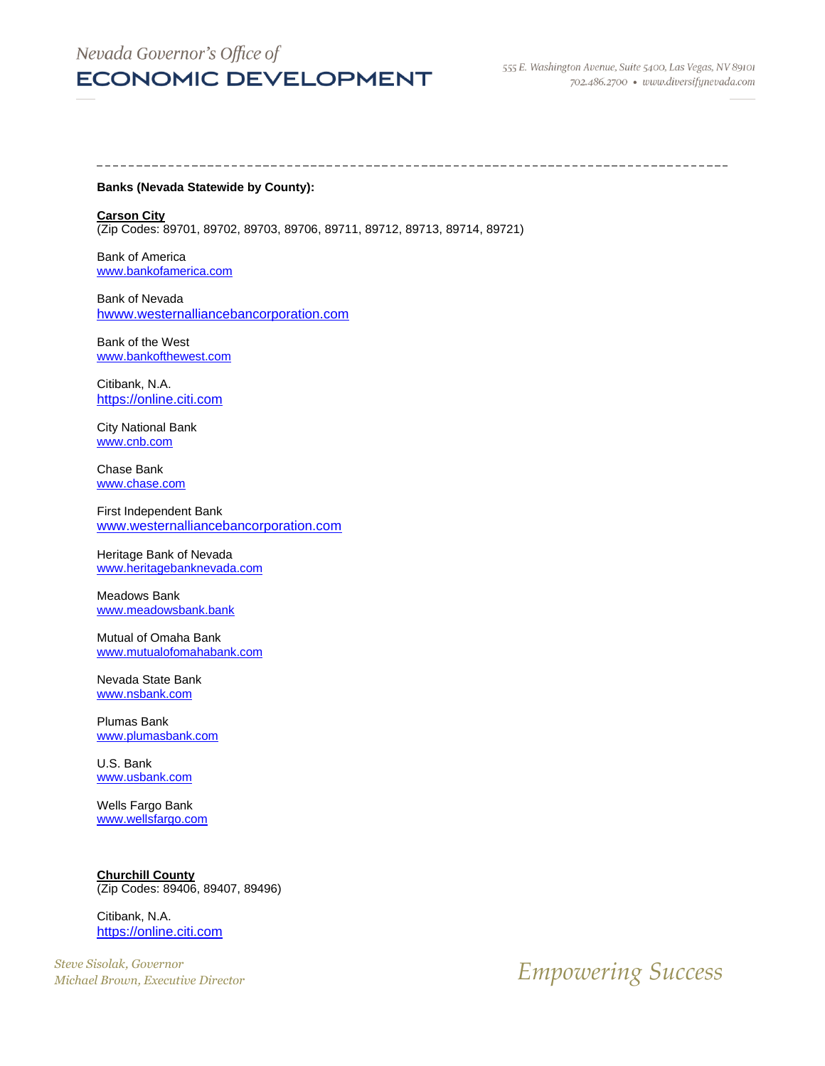### Nevada Governor's Office of

### **ECONOMIC DEVELOPMENT**

#### **Banks (Nevada Statewide by County):**

--------------------------

**Carson City**  (Zip Codes: 89701, 89702, 89703, 89706, 89711, 89712, 89713, 89714, 89721)

Bank of America [www.bankofamerica.com](http://www.bankofamerica.com/)

Bank of Nevada [hwww.westernalliancebancorporation.com](https://www.westernalliancebancorporation.com/)

Bank of the West [www.bankofthewest.com](http://www.bankofthewest.com/)

Citibank, N.A. [https://online.citi.com](https://online.citi.com/)

City National Bank [www.cnb.com](http://www.cnb.com/)

Chase Bank [www.chase.com](http://www.chase.com/)

First Independent Bank [www.westernalliancebancorporation.com](http://www.westernalliancebancorporation.com/)

Heritage Bank of Nevada [www.heritagebanknevada.com](http://www.heritagebanknevada.com/)

Meadows Bank [www.meadowsbank.bank](http://www.meadowsbank.bank/)

Mutual of Omaha Bank [www.mutualofomahabank.com](http://www.mutualofomahabank.com/)

Nevada State Bank [www.nsbank.com](http://www.nsbank.com/)

Plumas Bank [www.plumasbank.com](http://www.plumasbank.com/)

U.S. Bank [www.usbank.com](http://www.usbank.com/)

Wells Fargo Bank [www.wellsfargo.com](http://www.wellsfargo.com/)

**Churchill County** (Zip Codes: 89406, 89407, 89496)

Citibank, N.A. [https://online.citi.com](https://online.citi.com/)

*Steve Sisolak, Governor*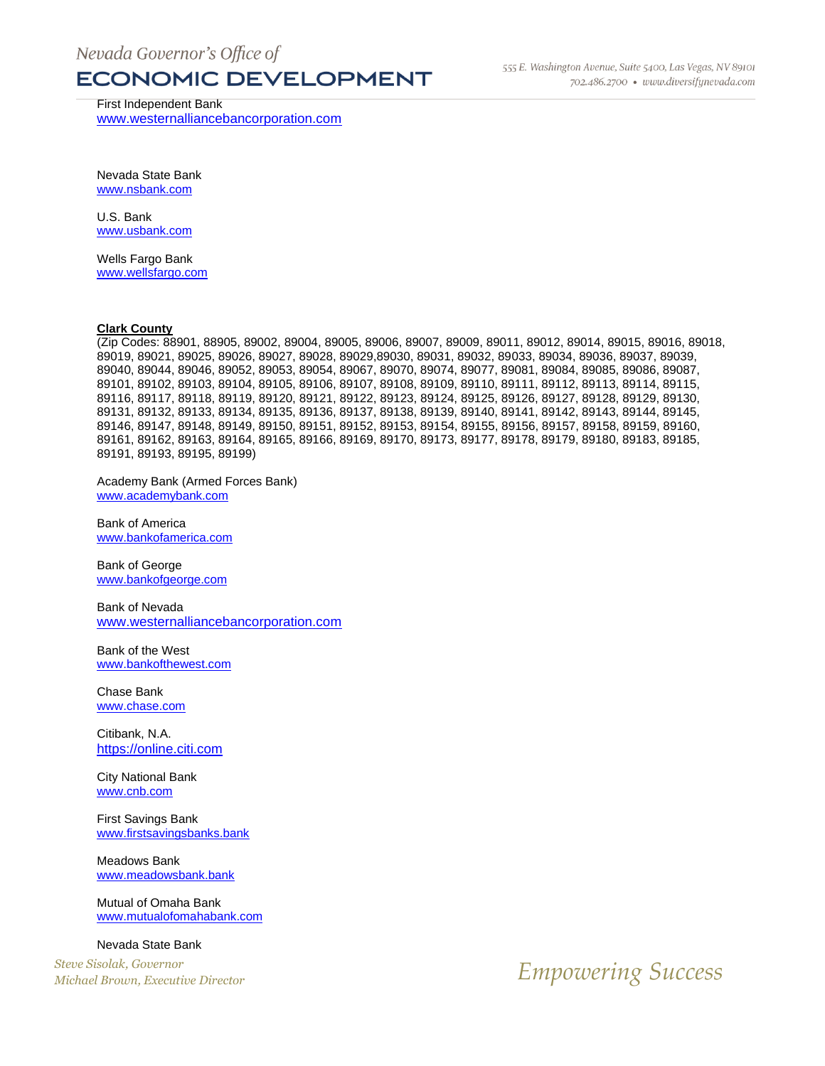First Independent Bank [www.westernalliancebancorporation.com](http://www.westernalliancebancorporation.com/)

Nevada State Bank [www.nsbank.com](http://www.nsbank.com/)

U.S. Bank [www.usbank.com](http://www.usbank.com/)

Wells Fargo Bank [www.wellsfargo.com](http://www.wellsfargo.com/)

#### **Clark County**

(Zip Codes: 88901, 88905, 89002, 89004, 89005, 89006, 89007, 89009, 89011, 89012, 89014, 89015, 89016, 89018, 89019, 89021, 89025, 89026, 89027, 89028, 89029,89030, 89031, 89032, 89033, 89034, 89036, 89037, 89039, 89040, 89044, 89046, 89052, 89053, 89054, 89067, 89070, 89074, 89077, 89081, 89084, 89085, 89086, 89087, 89101, 89102, 89103, 89104, 89105, 89106, 89107, 89108, 89109, 89110, 89111, 89112, 89113, 89114, 89115, 89116, 89117, 89118, 89119, 89120, 89121, 89122, 89123, 89124, 89125, 89126, 89127, 89128, 89129, 89130, 89131, 89132, 89133, 89134, 89135, 89136, 89137, 89138, 89139, 89140, 89141, 89142, 89143, 89144, 89145, 89146, 89147, 89148, 89149, 89150, 89151, 89152, 89153, 89154, 89155, 89156, 89157, 89158, 89159, 89160, 89161, 89162, 89163, 89164, 89165, 89166, 89169, 89170, 89173, 89177, 89178, 89179, 89180, 89183, 89185, 89191, 89193, 89195, 89199)

Academy Bank (Armed Forces Bank) [www.academybank.com](http://www.academybank.com/)

Bank of America [www.bankofamerica.com](http://www.bankofamerica.com/)

Bank of George [www.bankofgeorge.com](http://www.bankofgeorge.com/)

Bank of Nevada [www.westernalliancebancorporation.com](http://www.westernalliancebancorporation.com/)

Bank of the West [www.bankofthewest.com](http://www.bankofthewest.com/)

Chase Bank [www.chase.com](http://www.chase.com/)

Citibank, N.A. [https://online.citi.com](https://online.citi.com/)

City National Bank [www.cnb.com](http://www.cnb.com/)

First Savings Bank [www.firstsavingsbanks.bank](http://www.firstsavingsbanks.bank/)

Meadows Bank [www.meadowsbank.bank](http://www.meadowsbank.bank/)

Mutual of Omaha Bank [www.mutualofomahabank.com](http://www.mutualofomahabank.com/)

Nevada State Bank

*Steve Sisolak, Governor*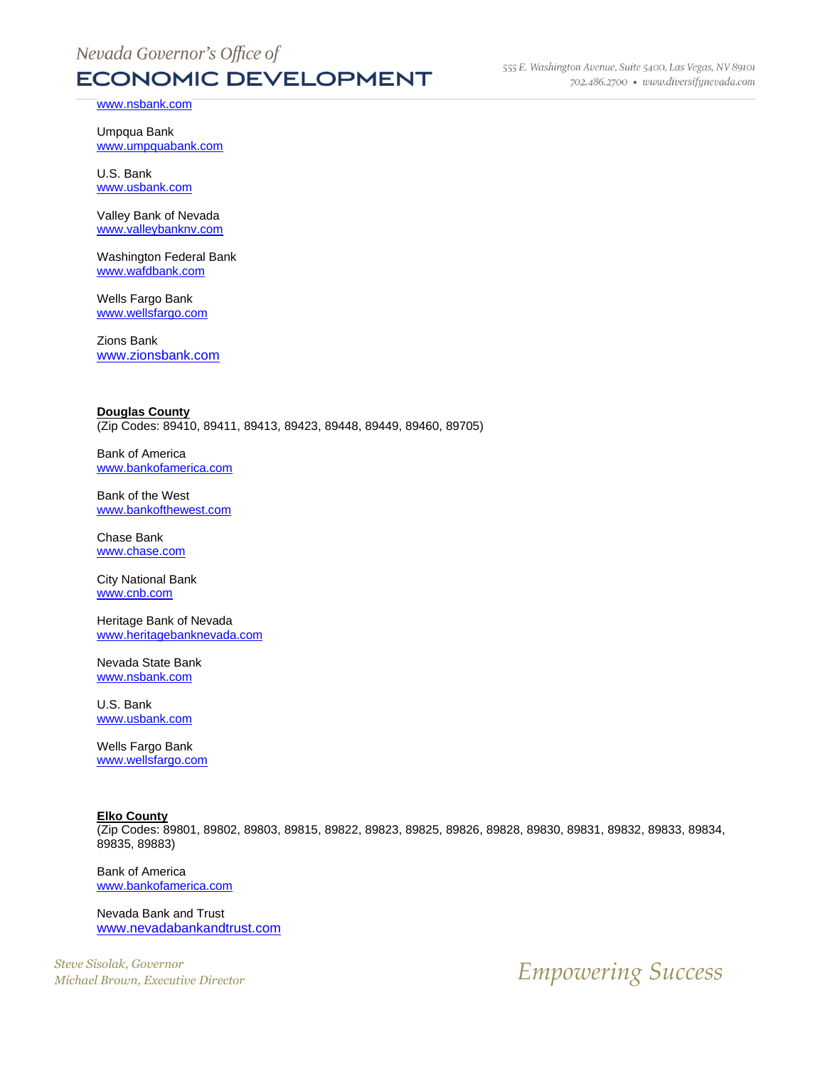[www.nsbank.com](http://www.nsbank.com/)

Umpqua Bank [www.umpquabank.com](http://www.umpquabank.com/)

U.S. Bank [www.usbank.com](http://www.usbank.com/)

Valley Bank of Nevada [www.valleybanknv.com](http://www.valleybanknv.com/)

Washington Federal Bank [www.wafdbank.com](http://www.wafdbank.com/)

Wells Fargo Bank [www.wellsfargo.com](http://www.wellsfargo.com/)

Zions Bank [www.zionsbank.com](http://www.zionsbank.com/)

**Douglas County**  (Zip Codes: 89410, 89411, 89413, 89423, 89448, 89449, 89460, 89705)

Bank of America [www.bankofamerica.com](http://www.bankofamerica.com/)

Bank of the West [www.bankofthewest.com](http://www.bankofthewest.com/)

Chase Bank [www.chase.com](http://www.chase.com/)

City National Bank [www.cnb.com](http://www.cnb.com/)

Heritage Bank of Nevada [www.heritagebanknevada.com](http://www.heritagebanknevada.com/)

Nevada State Bank [www.nsbank.com](http://www.nsbank.com/)

U.S. Bank [www.usbank.com](http://www.usbank.com/)

Wells Fargo Bank [www.wellsfargo.com](http://www.wellsfargo.com/)

**Elko County** 

(Zip Codes: 89801, 89802, 89803, 89815, 89822, 89823, 89825, 89826, 89828, 89830, 89831, 89832, 89833, 89834, 89835, 89883)

Bank of America [www.bankofamerica.com](http://www.bankofamerica.com/)

Nevada Bank and Trust [www.nevadabankandtrust.com](http://www.nevadabankandtrust.com/)

*Steve Sisolak, Governor*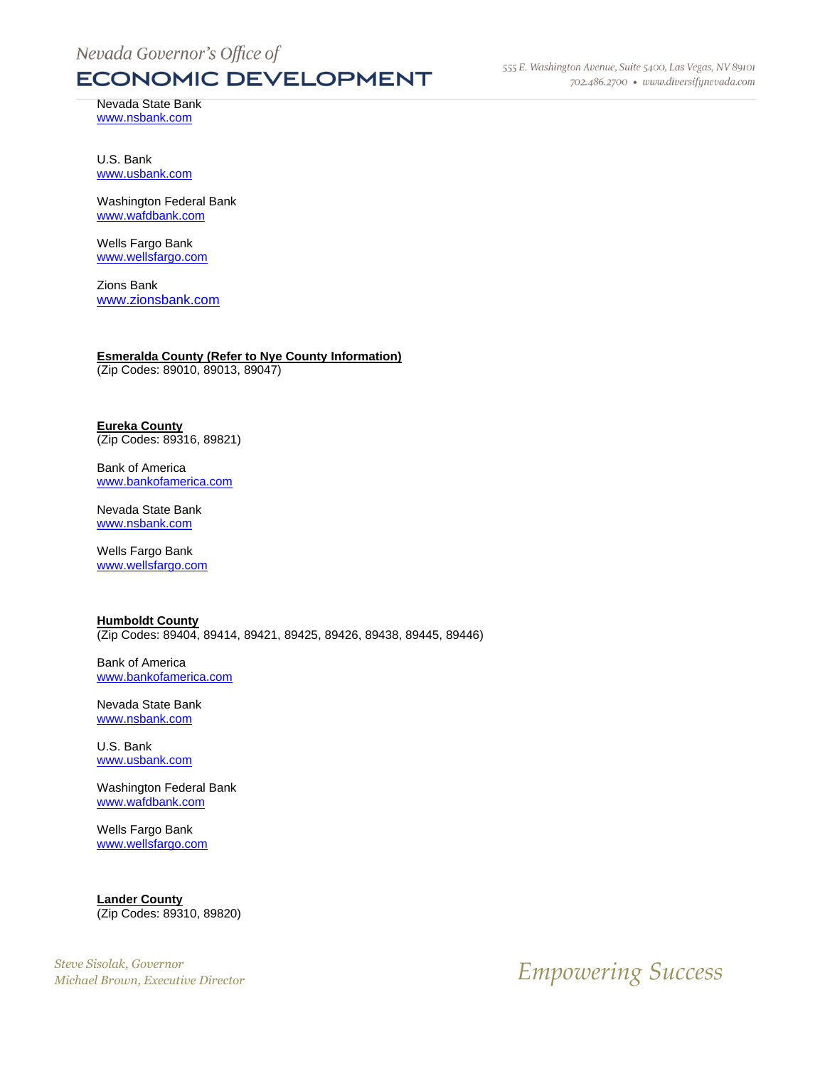555 E. Washington Avenue, Suite 5400, Las Vegas, NV 89101 702.486.2700 · www.diversifynevada.com

Nevada State Bank [www.nsbank.com](http://www.nsbank.com/)

U.S. Bank [www.usbank.com](http://www.usbank.com/)

Washington Federal Bank [www.wafdbank.com](http://www.wafdbank.com/)

Wells Fargo Bank [www.wellsfargo.com](http://www.wellsfargo.com/)

Zions Bank [www.zionsbank.com](http://www.zionsbank.com/)

#### **Esmeralda County (Refer to Nye County Information)**

(Zip Codes: 89010, 89013, 89047)

#### **Eureka County**  (Zip Codes: 89316, 89821)

Bank of America [www.bankofamerica.com](http://www.bankofamerica.com/)

Nevada State Bank [www.nsbank.com](http://www.nsbank.com/)

Wells Fargo Bank [www.wellsfargo.com](http://www.wellsfargo.com/)

| <b>Humboldt County</b>                                              |  |  |  |  |
|---------------------------------------------------------------------|--|--|--|--|
| (Zip Codes: 89404, 89414, 89421, 89425, 89426, 89438, 89445, 89446) |  |  |  |  |

Bank of America [www.bankofamerica.com](http://www.bankofamerica.com/)

Nevada State Bank [www.nsbank.com](http://www.nsbank.com/)

U.S. Bank [www.usbank.com](http://www.usbank.com/)

Washington Federal Bank [www.wafdbank.com](http://www.wafdbank.com/)

Wells Fargo Bank [www.wellsfargo.com](http://www.wellsfargo.com/)

**Lander County**  (Zip Codes: 89310, 89820)

*Steve Sisolak, Governor*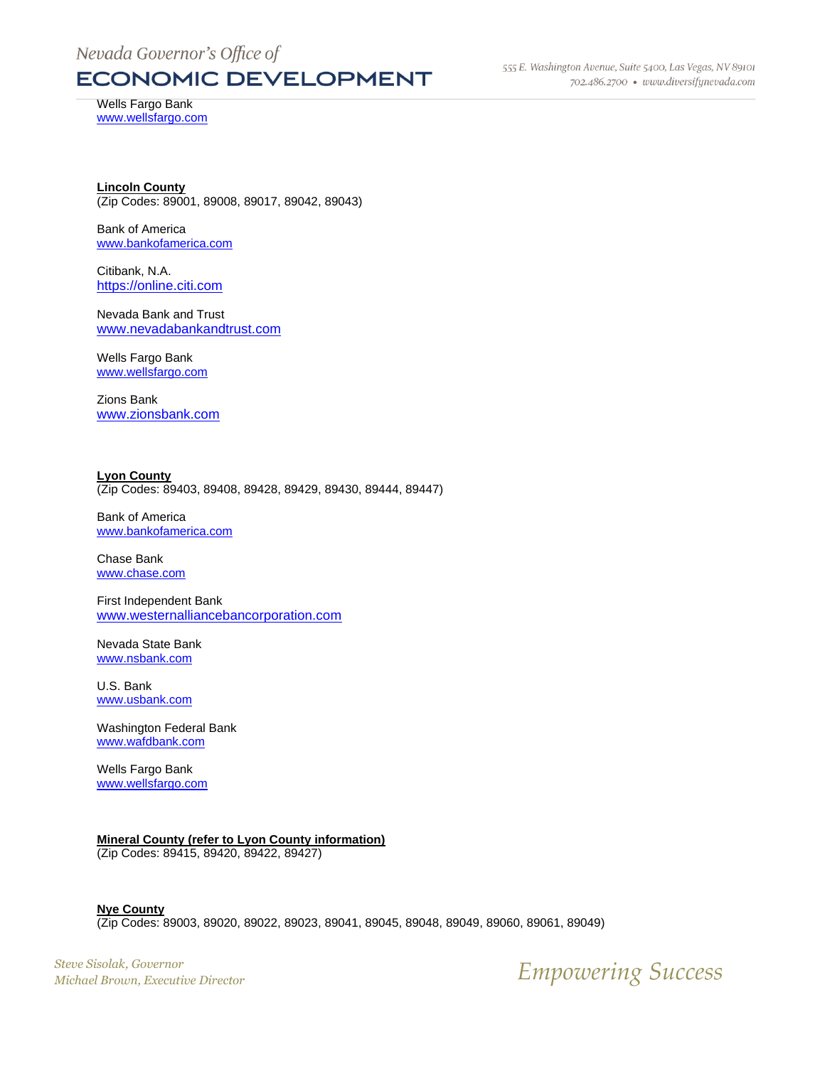555 E. Washington Avenue, Suite 5400, Las Vegas, NV 89101 702.486.2700 · www.diversifynevada.com

Wells Fargo Bank [www.wellsfargo.com](http://www.wellsfargo.com/)

**Lincoln County**  (Zip Codes: 89001, 89008, 89017, 89042, 89043)

Bank of America [www.bankofamerica.com](http://www.bankofamerica.com/)

Citibank, N.A. [https://online.citi.com](https://online.citi.com/)

Nevada Bank and Trust [www.nevadabankandtrust.com](http://www.nevadabankandtrust.com/)

Wells Fargo Bank [www.wellsfargo.com](http://www.wellsfargo.com/)

Zions Bank [www.zionsbank.com](http://www.zionsbank.com/)

**Lyon County**  (Zip Codes: 89403, 89408, 89428, 89429, 89430, 89444, 89447)

Bank of America [www.bankofamerica.com](http://www.bankofamerica.com/)

Chase Bank [www.chase.com](http://www.chase.com/)

First Independent Bank [www.westernalliancebancorporation.com](http://www.westernalliancebancorporation.com/)

Nevada State Bank [www.nsbank.com](http://www.nsbank.com/)

U.S. Bank [www.usbank.com](http://www.usbank.com/)

Washington Federal Bank [www.wafdbank.com](http://www.wafdbank.com/)

Wells Fargo Bank [www.wellsfargo.com](http://www.wellsfargo.com/)

#### **Mineral County (refer to Lyon County information)**

(Zip Codes: 89415, 89420, 89422, 89427)

**Nye County** (Zip Codes: 89003, 89020, 89022, 89023, 89041, 89045, 89048, 89049, 89060, 89061, 89049)

*Steve Sisolak, Governor*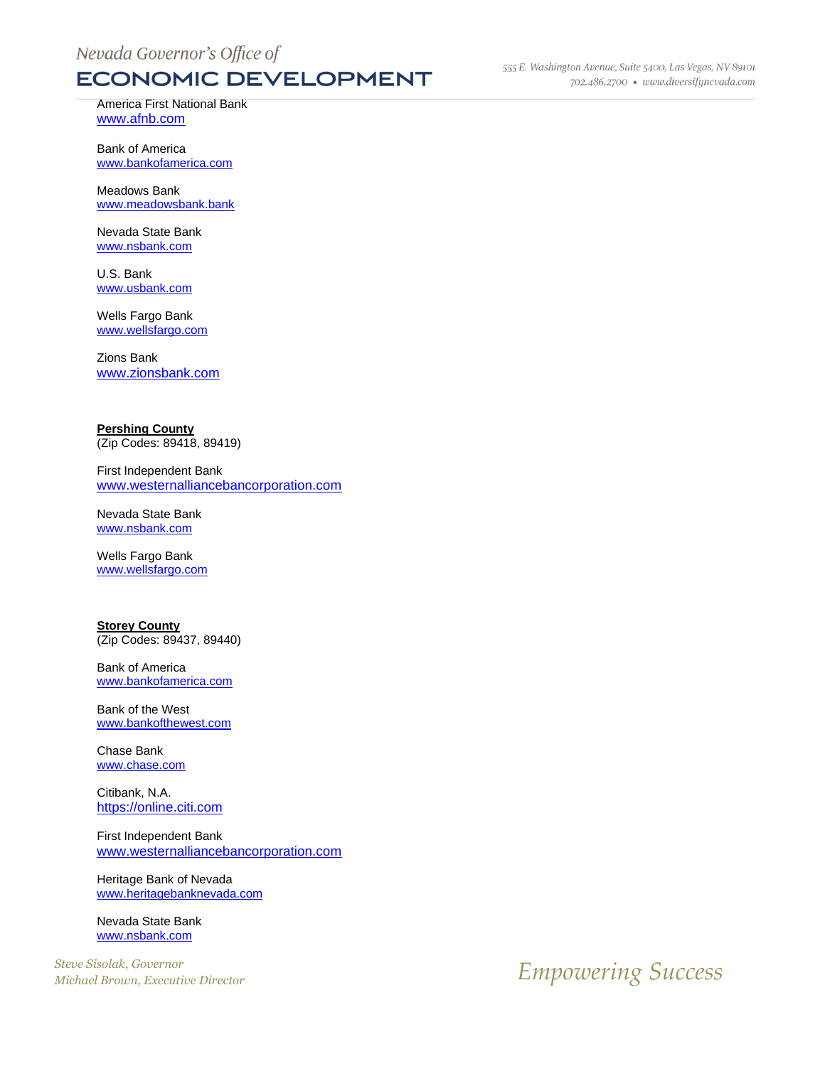America First National Bank [www.afnb.com](http://www.afnb.com/)

Bank of America [www.bankofamerica.com](http://www.bankofamerica.com/)

Meadows Bank [www.meadowsbank.bank](http://www.meadowsbank.bank/)

Nevada State Bank [www.nsbank.com](http://www.nsbank.com/)

U.S. Bank [www.usbank.com](http://www.usbank.com/)

Wells Fargo Bank [www.wellsfargo.com](http://www.wellsfargo.com/)

Zions Bank [www.zionsbank.com](http://www.zionsbank.com/)

#### **Pershing County**

(Zip Codes: 89418, 89419)

First Independent Bank [www.westernalliancebancorporation.com](http://www.westernalliancebancorporation.com/)

Nevada State Bank [www.nsbank.com](http://www.nsbank.com/)

Wells Fargo Bank [www.wellsfargo.com](http://www.wellsfargo.com/)

**Storey County** (Zip Codes: 89437, 89440)

Bank of America [www.bankofamerica.com](http://www.bankofamerica.com/)

Bank of the West [www.bankofthewest.com](http://www.bankofthewest.com/)

Chase Bank [www.chase.com](http://www.chase.com/)

Citibank, N.A. [https://online.citi.com](https://online.citi.com/)

First Independent Bank [www.westernalliancebancorporation.com](http://www.westernalliancebancorporation.com/)

Heritage Bank of Nevada [www.heritagebanknevada.com](http://www.heritagebanknevada.com/)

Nevada State Bank [www.nsbank.com](http://www.nsbank.com/)

*Steve Sisolak, Governor*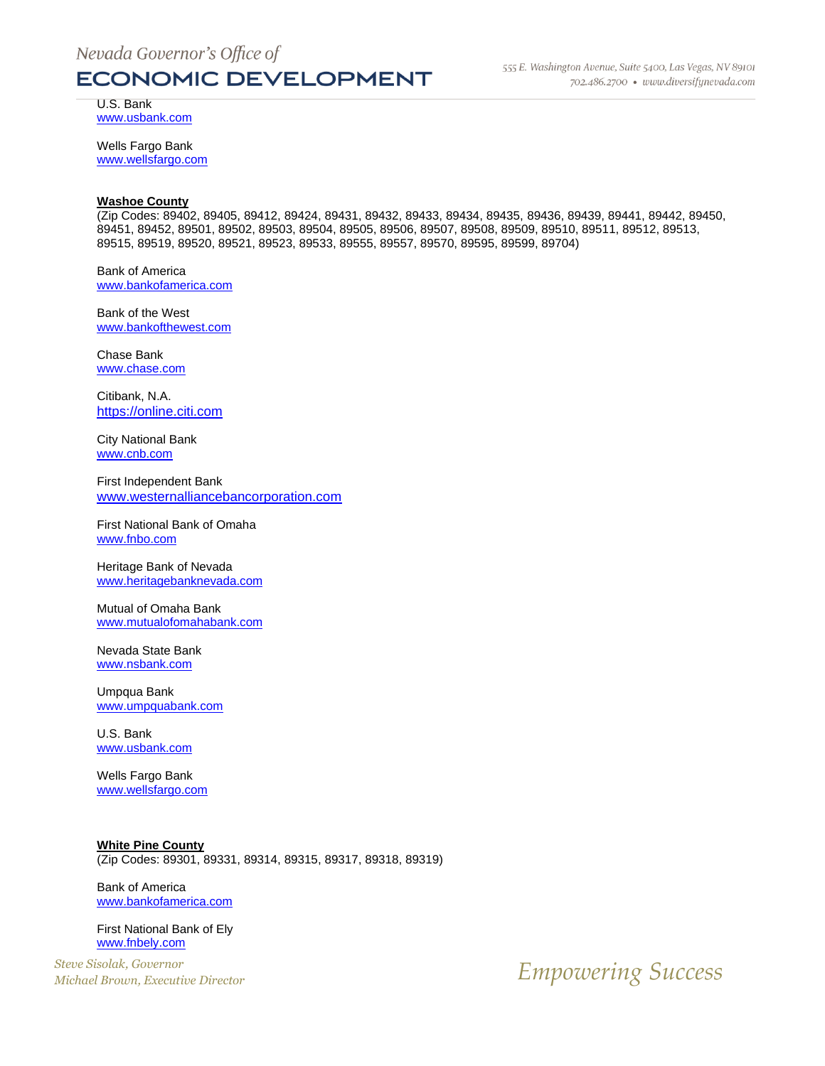U.S. Bank [www.usbank.com](http://www.usbank.com/)

Wells Fargo Bank [www.wellsfargo.com](http://www.wellsfargo.com/)

#### **Washoe County**

(Zip Codes: 89402, 89405, 89412, 89424, 89431, 89432, 89433, 89434, 89435, 89436, 89439, 89441, 89442, 89450, 89451, 89452, 89501, 89502, 89503, 89504, 89505, 89506, 89507, 89508, 89509, 89510, 89511, 89512, 89513, 89515, 89519, 89520, 89521, 89523, 89533, 89555, 89557, 89570, 89595, 89599, 89704)

Bank of America [www.bankofamerica.com](http://www.bankofamerica.com/)

Bank of the West [www.bankofthewest.com](http://www.bankofthewest.com/)

Chase Bank [www.chase.com](http://www.chase.com/)

Citibank, N.A. [https://online.citi.com](https://online.citi.com/)

City National Bank [www.cnb.com](http://www.cnb.com/)

First Independent Bank [www.westernalliancebancorporation.com](http://www.westernalliancebancorporation.com/)

First National Bank of Omaha [www.fnbo.com](http://www.fnbo.com/)

Heritage Bank of Nevada [www.heritagebanknevada.com](http://www.heritagebanknevada.com/)

Mutual of Omaha Bank [www.mutualofomahabank.com](http://www.mutualofomahabank.com/)

Nevada State Bank [www.nsbank.com](http://www.nsbank.com/)

Umpqua Bank [www.umpquabank.com](http://www.umpquabank.com/)

U.S. Bank [www.usbank.com](http://www.usbank.com/)

Wells Fargo Bank [www.wellsfargo.com](http://www.wellsfargo.com/)

**White Pine County** (Zip Codes: 89301, 89331, 89314, 89315, 89317, 89318, 89319)

Bank of America [www.bankofamerica.com](http://www.bankofamerica.com/)

First National Bank of Ely [www.fnbely.com](http://www.fnbely.com/)

*Steve Sisolak, Governor*